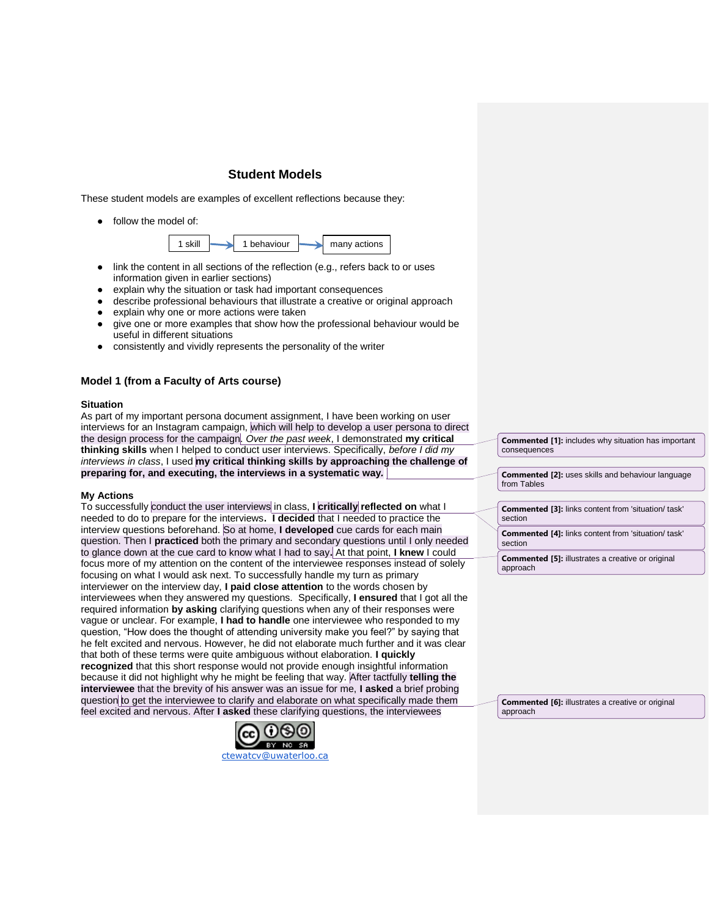# **Student Models**

These student models are examples of excellent reflections because they:

● follow the model of:



- link the content in all sections of the reflection (e.g., refers back to or uses information given in earlier sections)
- explain why the situation or task had important consequences
- describe professional behaviours that illustrate a creative or original approach
- explain why one or more actions were taken
- give one or more examples that show how the professional behaviour would be useful in different situations
- consistently and vividly represents the personality of the writer

## **Model 1 (from a Faculty of Arts course)**

#### **Situation**

As part of my important persona document assignment, I have been working on user interviews for an Instagram campaign, which will help to develop a user persona to direct the design process for the campaign. *Over the past week*, I demonstrated **my critical thinking skills** when I helped to conduct user interviews. Specifically, *before I did my interviews in class*, I used **my critical thinking skills by approaching the challenge of preparing for, and executing, the interviews in a systematic way***.* 

## **My Actions**

To successfully conduct the user interviews in class, **I critically reflected on** what I needed to do to prepare for the interviews**. I decided** that I needed to practice the interview questions beforehand. So at home, **I developed** cue cards for each main question. Then I **practiced** both the primary and secondary questions until I only needed to glance down at the cue card to know what I had to say**.** At that point, **I knew** I could focus more of my attention on the content of the interviewee responses instead of solely focusing on what I would ask next. To successfully handle my turn as primary interviewer on the interview day, **I paid close attention** to the words chosen by interviewees when they answered my questions. Specifically, **I ensured** that I got all the required information **by asking** clarifying questions when any of their responses were vague or unclear. For example, **I had to handle** one interviewee who responded to my question, "How does the thought of attending university make you feel?" by saying that he felt excited and nervous. However, he did not elaborate much further and it was clear that both of these terms were quite ambiguous without elaboration. **I quickly recognized** that this short response would not provide enough insightful information because it did not highlight why he might be feeling that way. After tactfully **telling the interviewee** that the brevity of his answer was an issue for me, **I asked** a brief probing question to get the interviewee to clarify and elaborate on what specifically made them feel excited and nervous. After **I asked** these clarifying questions, the interviewees



**Commented [1]:** includes why situation has important consequences

**Commented [2]:** uses skills and behaviour language from Tables

**Commented [3]:** links content from 'situation/ task' section

**Commented [4]:** links content from 'situation/ task' section

**Commented [5]:** illustrates a creative or original approach

**Commented [6]:** illustrates a creative or original approach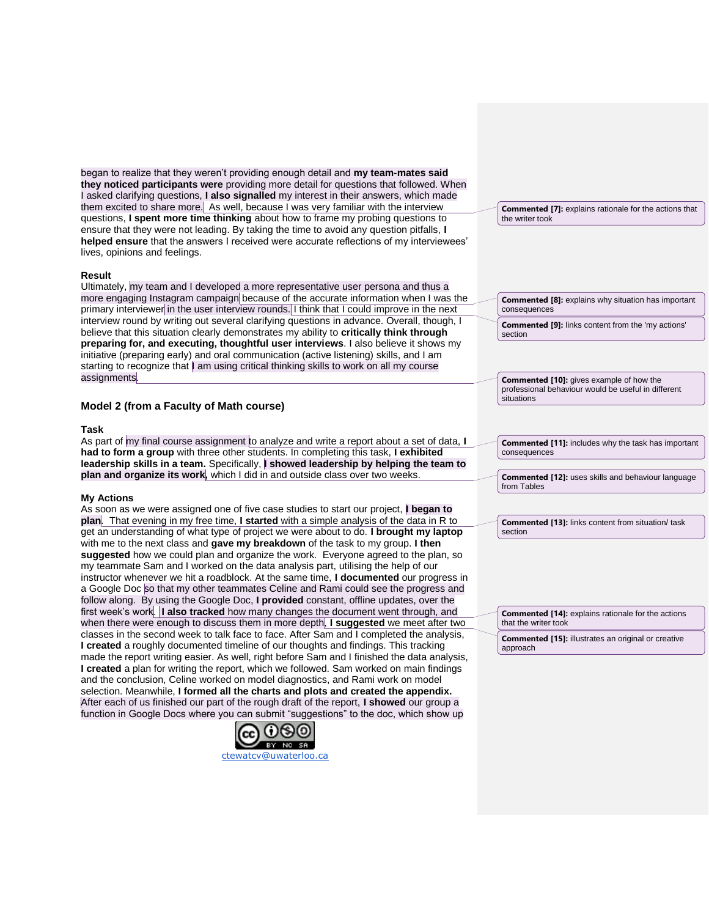began to realize that they weren't providing enough detail and **my team-mates said they noticed participants were** providing more detail for questions that followed. When I asked clarifying questions, **I also signalled** my interest in their answers, which made them excited to share more. As well, because I was very familiar with the interview questions, **I spent more time thinking** about how to frame my probing questions to ensure that they were not leading. By taking the time to avoid any question pitfalls, **I helped ensure** that the answers I received were accurate reflections of my interviewees' lives, opinions and feelings.

## **Result**

Ultimately, my team and I developed a more representative user persona and thus a more engaging Instagram campaign because of the accurate information when I was the primary interviewer in the user interview rounds. I think that I could improve in the next interview round by writing out several clarifying questions in advance. Overall, though, I believe that this situation clearly demonstrates my ability to **critically think through preparing for, and executing, thoughtful user interviews**. I also believe it shows my initiative (preparing early) and oral communication (active listening) skills, and I am starting to recognize that | am using critical thinking skills to work on all my course assignments.

# **Model 2 (from a Faculty of Math course)**

#### **Task**

As part of my final course assignment to analyze and write a report about a set of data, **I had to form a group** with three other students. In completing this task, **I exhibited leadership skills in a team.** Specifically, **I showed leadership by helping the team to plan and organize its work,** which I did in and outside class over two weeks.

#### **My Actions**

As soon as we were assigned one of five case studies to start our project, **I began to plan**. That evening in my free time, **I started** with a simple analysis of the data in R to get an understanding of what type of project we were about to do. **I brought my laptop**  with me to the next class and **gave my breakdown** of the task to my group. **I then suggested** how we could plan and organize the work. Everyone agreed to the plan, so my teammate Sam and I worked on the data analysis part, utilising the help of our instructor whenever we hit a roadblock. At the same time, **I documented** our progress in a Google Doc so that my other teammates Celine and Rami could see the progress and follow along. By using the Google Doc, **I provided** constant, offline updates, over the first week's work. **I also tracked** how many changes the document went through, and when there were enough to discuss them in more depth, **I suggested** we meet after two classes in the second week to talk face to face. After Sam and I completed the analysis, **I created** a roughly documented timeline of our thoughts and findings. This tracking made the report writing easier. As well, right before Sam and I finished the data analysis, **I created** a plan for writing the report, which we followed. Sam worked on main findings and the conclusion, Celine worked on model diagnostics, and Rami work on model selection. Meanwhile, **I formed all the charts and plots and created the appendix.**  After each of us finished our part of the rough draft of the report, **I showed** our group a function in Google Docs where you can submit "suggestions" to the doc, which show up



**Commented [7]:** explains rationale for the actions that the writer took

**Commented [8]:** explains why situation has important consequences

**Commented [9]:** links content from the 'my actions' section

**Commented [10]:** gives example of how the professional behaviour would be useful in different situations

**Commented [11]:** includes why the task has important consequences

**Commented [12]:** uses skills and behaviour language from Tables

**Commented [13]:** links content from situation/ task section

**Commented [14]:** explains rationale for the actions that the writer took

**Commented [15]:** illustrates an original or creative approach